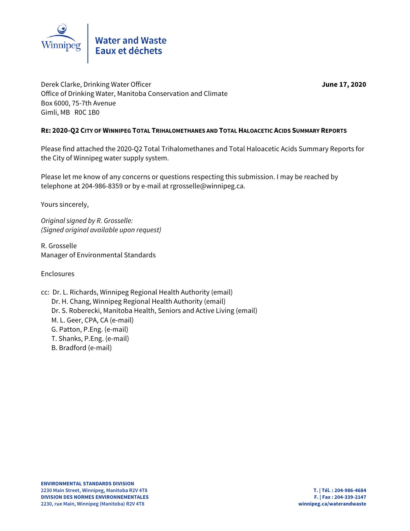

Derek Clarke, Drinking Water Officer **June 17, 2020** Office of Drinking Water, Manitoba Conservation and Climate Box 6000, 75-7th Avenue Gimli, MB R0C 1B0

## **RE: 2020-Q2 CITY OF WINNIPEG TOTAL TRIHALOMETHANES AND TOTAL HALOACETIC ACIDS SUMMARY REPORTS**

Please find attached the 2020-Q2 Total Trihalomethanes and Total Haloacetic Acids Summary Reports for the City of Winnipeg water supply system.

Please let me know of any concerns or questions respecting this submission. I may be reached by telephone at 204-986-8359 or by e-mail at rgrosselle@winnipeg.ca.

Yours sincerely,

Original signed by R. Grosselle: (Signed original available upon request)

R. Grosselle Manager of Environmental Standards

Enclosures

- cc: Dr. L. Richards, Winnipeg Regional Health Authority (email) Dr. H. Chang, Winnipeg Regional Health Authority (email) Dr. S. Roberecki, Manitoba Health, Seniors and Active Living (email) M. L. Geer, CPA, CA (e-mail) G. Patton, P.Eng. (e-mail)
	- T. Shanks, P.Eng. (e-mail)
	- B. Bradford (e-mail)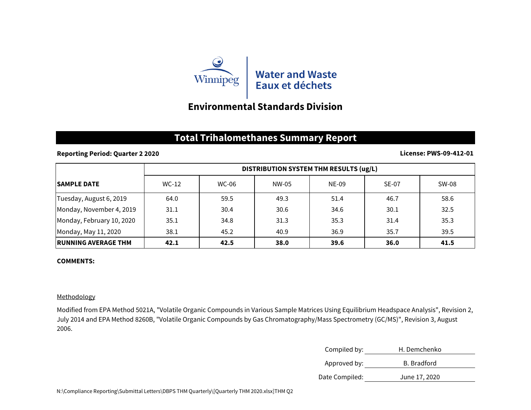

# **Environmental Standards Division**

## **Total Trihalomethanes Summary Report**

### **Reporting Period: Quarter 2 2020**

#### **License: PWS-09-412-01**

|                             | DISTRIBUTION SYSTEM THM RESULTS (ug/L) |       |       |       |              |       |
|-----------------------------|----------------------------------------|-------|-------|-------|--------------|-------|
| <b>ISAMPLE DATE</b>         | $WC-12$                                | WC-06 | NW-05 | NE-09 | <b>SE-07</b> | SW-08 |
| Tuesday, August 6, 2019     | 64.0                                   | 59.5  | 49.3  | 51.4  | 46.7         | 58.6  |
| Monday, November 4, 2019    | 31.1                                   | 30.4  | 30.6  | 34.6  | 30.1         | 32.5  |
| Monday, February 10, 2020   | 35.1                                   | 34.8  | 31.3  | 35.3  | 31.4         | 35.3  |
| Monday, May 11, 2020        | 38.1                                   | 45.2  | 40.9  | 36.9  | 35.7         | 39.5  |
| <b>IRUNNING AVERAGE THM</b> | 42.1                                   | 42.5  | 38.0  | 39.6  | 36.0         | 41.5  |

### **COMMENTS:**

### Methodology

Modified from EPA Method 5021A, "Volatile Organic Compounds in Various Sample Matrices Using Equilibrium Headspace Analysis", Revision 2, July 2014 and EPA Method 8260B, "Volatile Organic Compounds by Gas Chromatography/Mass Spectrometry (GC/MS)", Revision 3, August 2006.

| Compiled by:   | H. Demchenko  |  |  |
|----------------|---------------|--|--|
| Approved by:   | B. Bradford   |  |  |
| Date Compiled: | June 17, 2020 |  |  |